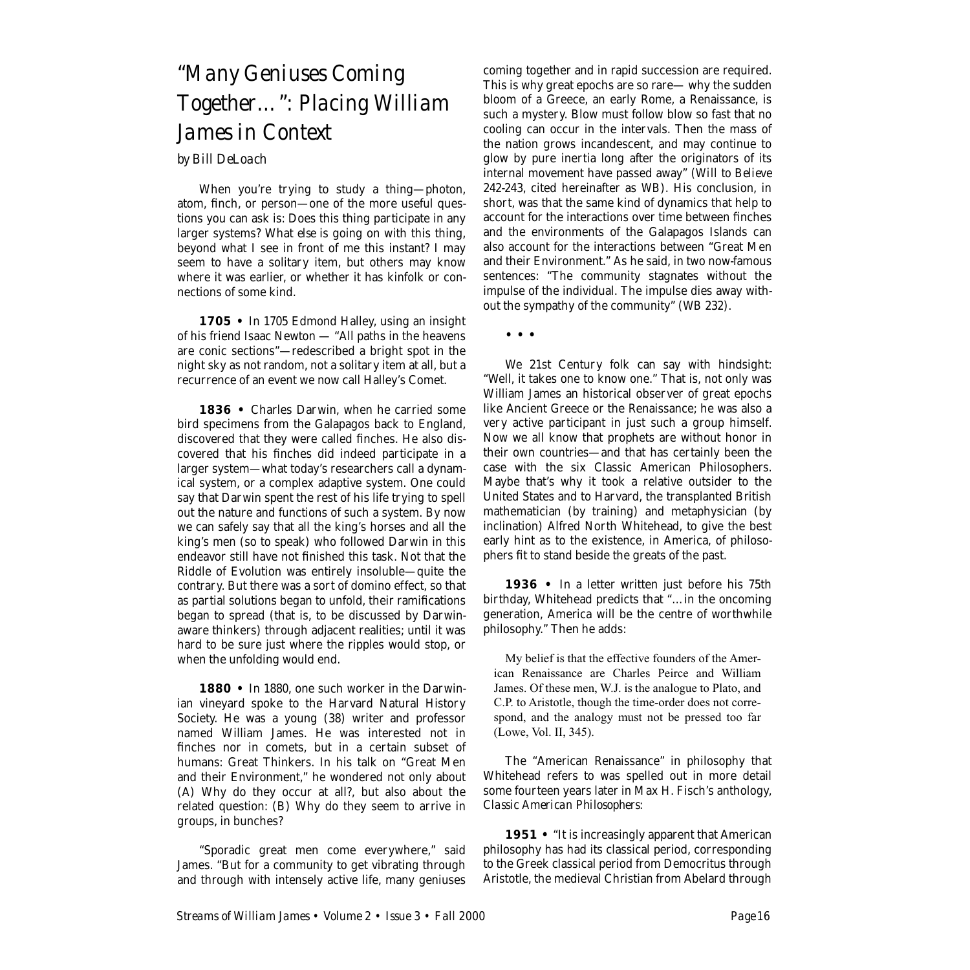# *"Many Geniuses Coming Together…": Placing William James in Context*

## *by Bill DeLoach*

When you're trying to study a thing—photon, atom, finch, or person—one of the more useful questions you can ask is: Does this thing participate in any larger systems? What *else* is going on with this thing, beyond what I see in front of me this instant? I may seem to have a solitary item, but others may know where it was earlier, or whether it has kinfolk or connections of some kind.

**1705 •** In 1705 Edmond Halley, using an insight of his friend Isaac Newton — "All paths in the heavens are conic sections"—redescribed a bright spot in the night sky as not random, not a solitary item at all, but a recurrence of an event we now call Halley's Comet.

**1836 •** Charles Darwin, when he carried some bird specimens from the Galapagos back to England, discovered that they were called finches. He also discovered that his finches did indeed participate in a larger system—what today's researchers call a dynamical system, or a complex adaptive system. One could say that Darwin spent the rest of his life trying to spell out the nature and functions of such a system. By now we can safely say that all the king's horses and all the king's men (so to speak) who followed Darwin in this endeavor still have not finished this task. Not that the Riddle of Evolution was entirely insoluble—quite the contrary. But there was a sort of domino effect, so that as partial solutions began to unfold, their ramifications began to spread (that is, to be discussed by Darwinaware thinkers) through adjacent realities; until it was hard to be sure just where the ripples would stop, or when the unfolding would end.

1880 • In 1880, one such worker in the Darwinian vineyard spoke to the Harvard Natural History Society. He was a young (38) writer and professor named William James. He was interested not in finches nor in comets, but in a certain subset of humans: Great Thinkers. In his talk on "Great Men and their Environment," he wondered not only about (A) Why do they occur at all?, but also about the related question: (B) Why do they seem to arrive in groups, in bunches?

"Sporadic great men come everywhere," said James. "But for a community to get vibrating through and through with intensely active life, many geniuses

coming together and in rapid succession are required. This is why great epochs are so rare— why the sudden bloom of a Greece, an early Rome, a Renaissance, is such a mystery. Blow must follow blow so fast that no cooling can occur in the intervals. Then the mass of the nation grows incandescent, and may continue to glow by pure inertia long after the originators of its internal movement have passed away" (*Will to Believe* 242-243, cited hereinafter as *WB*)*.* His conclusion, in short, was that the same kind of dynamics that help to account for the interactions over time between finches and the environments of the Galapagos Islands can also account for the interactions between "Great Men and their Environment." As he said, in two now-famous sentences: "The community stagnates without the impulse of the individual. The impulse dies away without the sympathy of the community" (*WB* 232).

**• • •** 

We 21st Century folk can say with hindsight: "Well, it takes one to know one." That is, not only was William James an historical observer of great epochs like Ancient Greece or the Renaissance; he was also a very active participant in just such a group himself. Now we all know that prophets are without honor in their own countries—and that has certainly been the case with the six Classic American Philosophers. Maybe that's why it took a relative outsider to the United States and to Harvard, the transplanted British mathematician (by training) and metaphysician (by inclination) Alfred North Whitehead, to give the best early hint as to the existence, in America, of philosophers fit to stand beside the greats of the past.

1936 • In a letter written just before his 75th birthday, Whitehead predicts that "…in the oncoming generation, America will be the centre of worthwhile philosophy." Then he adds:

My belief is that the effective founders of the American Renaissance are Charles Peirce and William James. Of these men, W.J. is the analogue to Plato, and C.P. to Aristotle, though the time-order does not correspond, and the analogy must not be pressed too far (Lowe, Vol. II, 345).

The "American Renaissance" in philosophy that Whitehead refers to was spelled out in more detail some fourteen years later in Max H. Fisch's anthology, *Classic American Philosophers:*

1951 • "It is increasingly apparent that American philosophy has had its classical period, corresponding to the Greek classical period from Democritus through Aristotle, the medieval Christian from Abelard through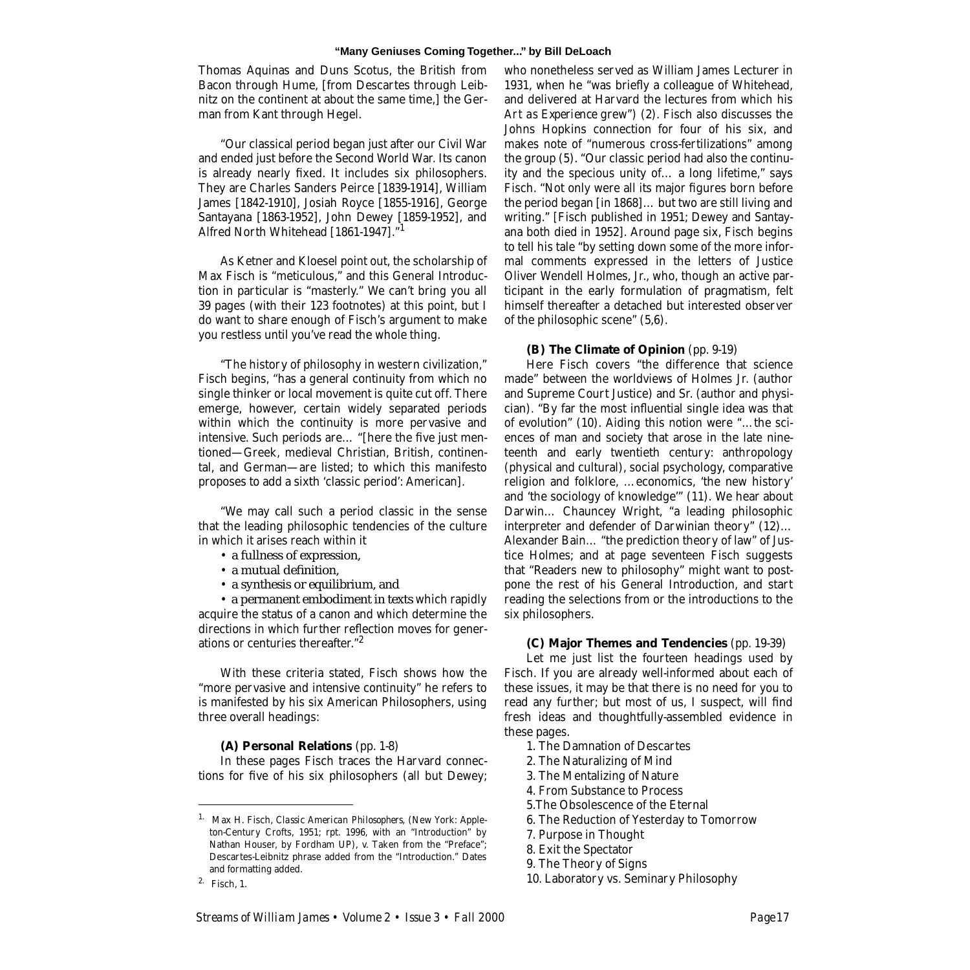Thomas Aquinas and Duns Scotus, the British from Bacon through Hume, [from Descartes through Leibnitz on the continent at about the same time,] the German from Kant through Hegel.

"Our classical period began just after our Civil War and ended just before the Second World War. Its canon is already nearly fixed. It includes six philosophers. They are Charles Sanders Peirce [1839-1914], William James [1842-1910], Josiah Royce [1855-1916], George Santayana [1863-1952], John Dewey [1859-1952], and Alfred North Whitehead [1861-1947]."1

As Ketner and Kloesel point out, the scholarship of Max Fisch is "meticulous," and this General Introduction in particular is "masterly." We can't bring you all 39 pages (with their 123 footnotes) at this point, but I do want to share enough of Fisch's argument to make you restless until you've read the whole thing.

"The history of philosophy in western civilization," Fisch begins, "has a general continuity from which no single thinker or local movement is quite cut off. There emerge, however, certain widely separated periods within which the continuity is more pervasive and intensive. Such periods are… "[here the five just mentioned—Greek, medieval Christian, British, continental, and German—are listed; to which this manifesto proposes to add a sixth 'classic period': American].

"We may call such a period classic in the sense that the leading philosophic tendencies of the culture in which it arises reach within it

- a fullness of expression,
- a mutual definition,
- a synthesis or equilibrium, and

• a permanent embodiment in texts which rapidly acquire the status of a canon and which determine the directions in which further reflection moves for generations or centuries thereafter."2

With these criteria stated, Fisch shows how the "more pervasive and intensive continuity" he refers to is manifested by his six American Philosophers, using three overall headings:

#### **(A) Personal Relations** (pp. 1-8)

In these pages Fisch traces the Harvard connections for five of his six philosophers (all but Dewey; who nonetheless served as William James Lecturer in 1931, when he "was briefly a colleague of Whitehead, and delivered at Harvard the lectures from which his *Art as Experience* grew") (2). Fisch also discusses the Johns Hopkins connection for four of his six, and makes note of "numerous cross-fertilizations" among the group (5). "Our classic period had also the continuity and the specious unity of… a long lifetime," says Fisch. "Not only were all its major figures born before the period began [in 1868]… but two are still living and writing." [Fisch published in 1951; Dewey and Santayana both died in 1952]. Around page six, Fisch begins to tell his tale "by setting down some of the more informal comments expressed in the letters of Justice Oliver Wendell Holmes, Jr., who, though an active participant in the early formulation of pragmatism, felt himself thereafter a detached but interested observer of the philosophic scene" (5,6).

#### **(B) The Climate of Opinion** (pp. 9-19)

Here Fisch covers "the difference that science made" between the worldviews of Holmes Jr. (author and Supreme Court Justice) and Sr. (author and physician). "By far the most influential single idea was that of evolution" (10). Aiding this notion were "…the sciences of man and society that arose in the late nineteenth and early twentieth century: anthropology (physical and cultural), social psychology, comparative religion and folklore, …economics, 'the new history' and 'the sociology of knowledge'" (11). We hear about Darwin… Chauncey Wright, "a leading philosophic interpreter and defender of Darwinian theory" (12)… Alexander Bain… "the prediction theory of law" of Justice Holmes; and at page seventeen Fisch suggests that "Readers new to philosophy" might want to postpone the rest of his General Introduction, and start reading the selections from or the introductions to the six philosophers.

#### **(C) Major Themes and Tendencies** (pp. 19-39)

Let me just list the fourteen headings used by Fisch. If you are already well-informed about each of these issues, it may be that there is no need for you to read any further; but most of us, I suspect, will find fresh ideas and thoughtfully-assembled evidence in these pages.

- 1. The Damnation of Descartes
- 2. The Naturalizing of Mind
- 3. The Mentalizing of Nature
- 4. From Substance to Process
- 5.The Obsolescence of the Eternal
- 6. The Reduction of Yesterday to Tomorrow
- 7. Purpose in Thought
- 8. Exit the Spectator
- 9. The Theory of Signs
- 10. Laboratory vs. Seminary Philosophy

<sup>1.</sup> Max H. Fisch, *Classic American Philosophers,* (New York: Appleton-Century Crofts, 1951; rpt. 1996, with an "Introduction" by Nathan Houser, by Fordham UP), v. Taken from the "Preface"; Descartes-Leibnitz phrase added from the "Introduction." Dates and formatting added.

<sup>2.</sup> Fisch, 1.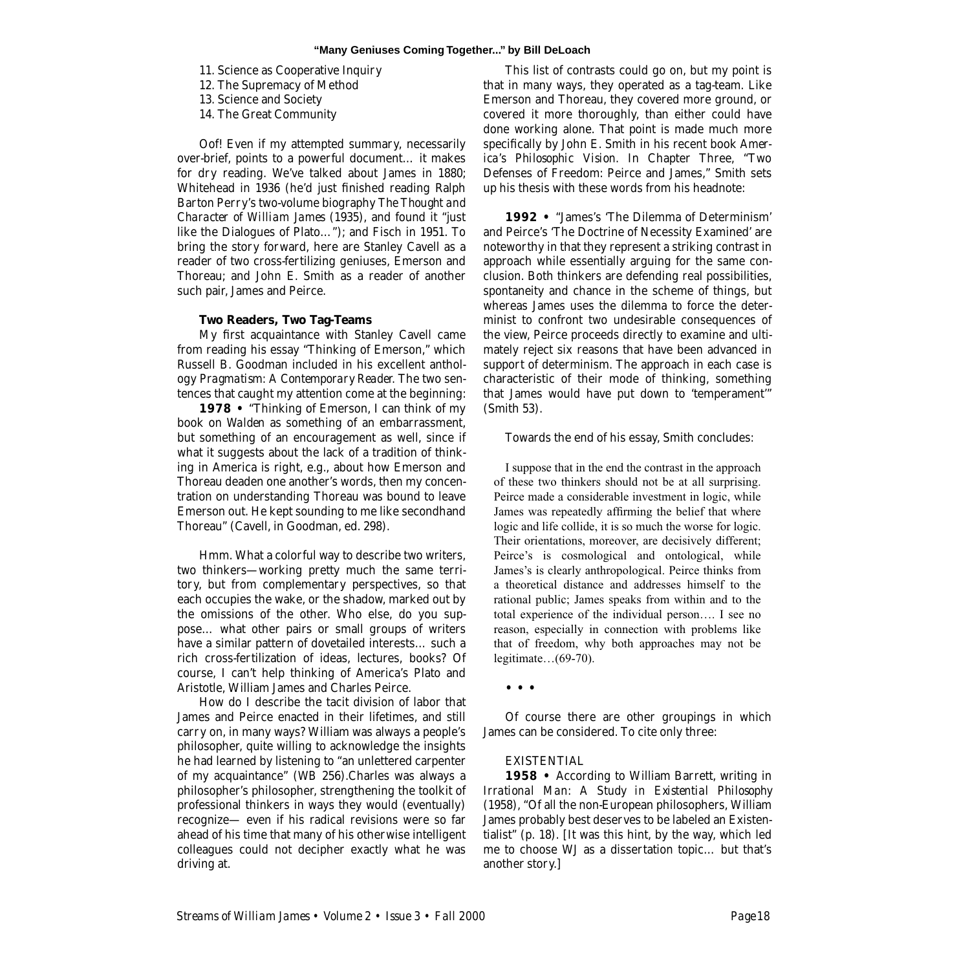- 11. Science as Cooperative Inquiry
- 12. The Supremacy of Method
- 13. Science and Society
- 14. The Great Community

Oof! Even if my attempted summary, necessarily over-brief, points to a powerful document… it makes for dry reading. We've talked about James in 1880; Whitehead in 1936 (he'd just finished reading Ralph Barton Perry's two-volume biography *The Thought and Character of William James* (1935), and found it "just like the Dialogues of Plato…"); and Fisch in 1951. To bring the story forward, here are Stanley Cavell as a reader of two cross-fertilizing geniuses, Emerson and Thoreau; and John E. Smith as a reader of another such pair, James and Peirce.

## **Two Readers, Two Tag-Teams**

My first acquaintance with Stanley Cavell came from reading his essay "Thinking of Emerson," which Russell B. Goodman included in his excellent anthology *Pragmatism: A Contemporary Reader.* The two sentences that caught my attention come at the beginning:

**1978 •** "Thinking of Emerson, I can think of my book on *Walden* as something of an embarrassment, but something of an encouragement as well, since if what it suggests about the lack of a tradition of thinking in America is right, e.g., about how Emerson and Thoreau deaden one another's words, then my concentration on understanding Thoreau was bound to leave Emerson out. He kept sounding to me like secondhand Thoreau" (Cavell, in Goodman, ed. 298).

Hmm. What a colorful way to describe two writers, two thinkers—working pretty much the same territory, but from complementary perspectives, so that each occupies the wake, or the shadow, marked out by the omissions of the other. Who else, do you suppose… what other pairs or small groups of writers have a similar pattern of dovetailed interests… such a rich cross-fertilization of ideas, lectures, books? Of course, I can't help thinking of America's Plato and Aristotle, William James and Charles Peirce.

How do I describe the tacit division of labor that James and Peirce enacted in their lifetimes, and still carry on, in many ways? William was always a people's philosopher, quite willing to acknowledge the insights he had learned by listening to "an unlettered carpenter of my acquaintance" (*WB* 256).Charles was always a philosopher's philosopher, strengthening the toolkit of professional thinkers in ways they would (eventually) recognize— even if his radical revisions were so far ahead of his time that many of his otherwise intelligent colleagues could not decipher exactly what he was driving at.

This list of contrasts could go on, but my point is that in many ways, they operated as a tag-team. Like Emerson and Thoreau, they covered more ground, or covered it more thoroughly, than either could have done working alone. That point is made much more specifically by John E. Smith in his recent book *America's Philosophic Vision.* In Chapter Three, "Two Defenses of Freedom: Peirce and James," Smith sets up his thesis with these words from his headnote:

**1992 •** "James's 'The Dilemma of Determinism' and Peirce's 'The Doctrine of Necessity Examined' are noteworthy in that they represent a striking contrast in approach while essentially arguing for the same conclusion. Both thinkers are defending real possibilities, spontaneity and chance in the scheme of things, but whereas James uses the dilemma to force the determinist to confront two undesirable consequences of the view, Peirce proceeds directly to examine and ultimately reject six reasons that have been advanced in support of determinism. The approach in each case is characteristic of their mode of thinking, something that James would have put down to 'temperament'" (Smith 53).

Towards the end of his essay, Smith concludes:

I suppose that in the end the contrast in the approach of these two thinkers should not be at all surprising. Peirce made a considerable investment in logic, while James was repeatedly affirming the belief that where logic and life collide, it is so much the worse for logic. Their orientations, moreover, are decisively different; Peirce's is cosmological and ontological, while James's is clearly anthropological. Peirce thinks from a theoretical distance and addresses himself to the rational public; James speaks from within and to the total experience of the individual person…. I see no reason, especially in connection with problems like that of freedom, why both approaches may not be legitimate…(69-70).

**• • •** 

Of course there are other groupings in which James can be considered. To cite only three:

#### **EXISTENTIAL**

**1958 •** According to William Barrett, writing in *Irrational Man: A Study in Existential Philosophy* (1958), "Of all the non-European philosophers, William James probably best deserves to be labeled an Existentialist" (p. 18). [It was this hint, by the way, which led me to choose WJ as a dissertation topic… but that's another story.]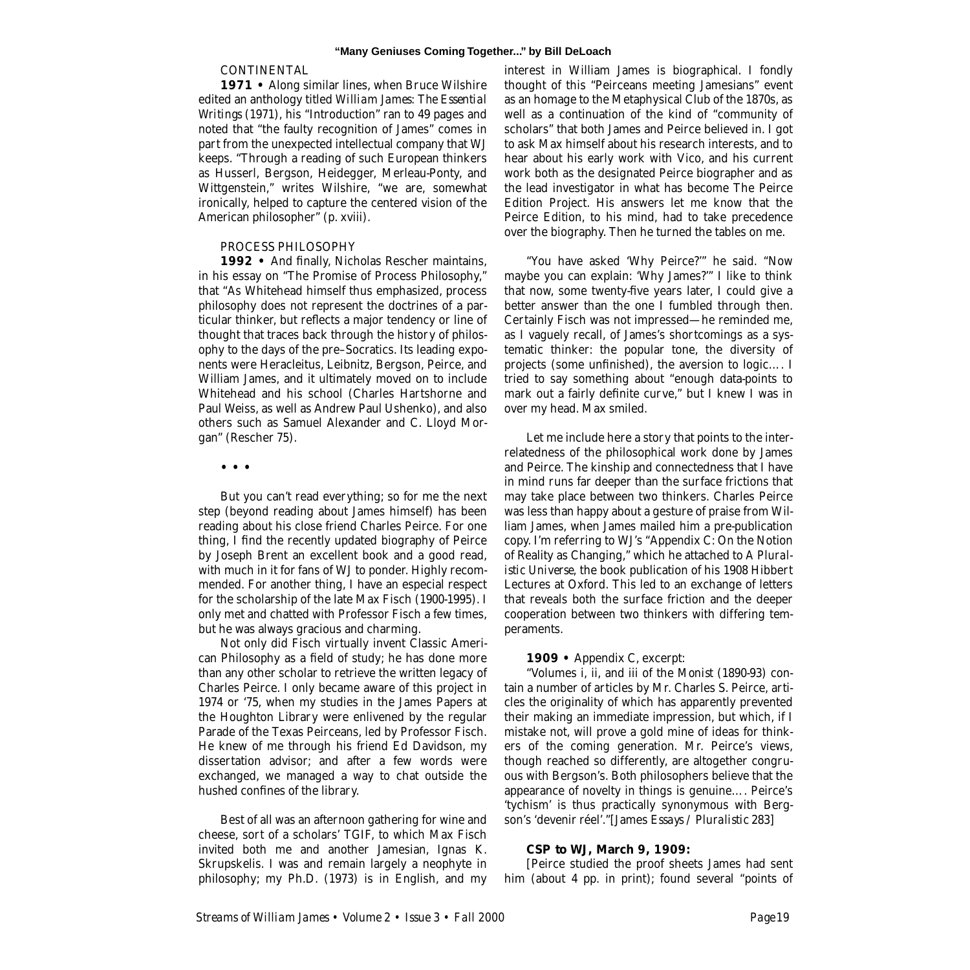#### **CONTINENTAL**

1971 • Along similar lines, when Bruce Wilshire edited an anthology titled *William James: The Essential Writings* (1971), his "Introduction" ran to 49 pages and noted that "the faulty recognition of James" comes in part from the unexpected intellectual company that WJ keeps. "Through a reading of such European thinkers as Husserl, Bergson, Heidegger, Merleau-Ponty, and Wittgenstein," writes Wilshire, "we are, somewhat ironically, helped to capture the centered vision of the American philosopher" (p. xviii).

#### PROCESS PHILOSOPHY

1992 • And finally, Nicholas Rescher maintains, in his essay on "The Promise of Process Philosophy," that "As Whitehead himself thus emphasized, process philosophy does not represent the doctrines of a particular thinker, but reflects a major tendency or line of thought that traces back through the history of philosophy to the days of the pre–Socratics. Its leading exponents were Heracleitus, Leibnitz, Bergson, Peirce, and William James, and it ultimately moved on to include Whitehead and his school (Charles Hartshorne and Paul Weiss, as well as Andrew Paul Ushenko), and also others such as Samuel Alexander and C. Lloyd Morgan" (Rescher 75).

**• • •** 

But you can't read everything; so for me the next step (beyond reading about James himself) has been reading about his close friend Charles Peirce. For one thing, I find the recently updated biography of Peirce by Joseph Brent an excellent book and a good read, with much in it for fans of WJ to ponder. Highly recommended. For another thing, I have an especial respect for the scholarship of the late Max Fisch (1900-1995). I only met and chatted with Professor Fisch a few times, but he was always gracious and charming.

Not only did Fisch virtually invent Classic American Philosophy as a field of study; he has done more than any other scholar to retrieve the written legacy of Charles Peirce. I only became aware of this project in 1974 or '75, when my studies in the James Papers at the Houghton Library were enlivened by the regular Parade of the Texas Peirceans, led by Professor Fisch. He knew of me through his friend Ed Davidson, my dissertation advisor; and after a few words were exchanged, we managed a way to chat outside the hushed confines of the library.

Best of all was an afternoon gathering for wine and cheese, sort of a scholars' TGIF, to which Max Fisch invited both me and another Jamesian, Ignas K. Skrupskelis. I was and remain largely a neophyte in philosophy; my Ph.D. (1973) is in English, and my interest in William James is biographical. I fondly thought of this "Peirceans meeting Jamesians" event as an homage to the Metaphysical Club of the 1870s, as well as a continuation of the kind of "community of scholars" that both James and Peirce believed in. I got to ask Max himself about his research interests, and to hear about his early work with Vico, and his current work both as the designated Peirce biographer and as the lead investigator in what has become The Peirce Edition Project. His answers let me know that the Peirce Edition, to his mind, had to take precedence over the biography. Then he turned the tables on me.

"You have asked 'Why Peirce?'" he said. "Now maybe you can explain: 'Why James?'" I like to think that now, some twenty-five years later, I could give a better answer than the one I fumbled through then. Certainly Fisch was not impressed—he reminded me, as I vaguely recall, of James's shortcomings as a systematic thinker: the popular tone, the diversity of projects (some unfinished), the aversion to logic…. I tried to say something about "enough data-points to mark out a fairly definite curve," but I knew I was in over my head. Max smiled.

Let me include here a story that points to the interrelatedness of the philosophical work done by James and Peirce. The kinship and connectedness that I have in mind runs far deeper than the surface frictions that may take place between two thinkers. Charles Peirce was less than happy about a gesture of praise from William James, when James mailed him a pre-publication copy. I'm referring to WJ's "Appendix C: On the Notion of Reality as Changing," which he attached to *A Pluralistic Universe,* the book publication of his 1908 Hibbert Lectures at Oxford. This led to an exchange of letters that reveals both the surface friction and the deeper cooperation between two thinkers with differing temperaments.

#### **1909 •** Appendix C, excerpt:

"Volumes i, ii, and iii of the *Monist* (1890-93) contain a number of articles by Mr. Charles S. Peirce, articles the originality of which has apparently prevented their making an immediate impression, but which, if I mistake not, will prove a gold mine of ideas for thinkers of the coming generation. Mr. Peirce's views, though reached so differently, are altogether congruous with Bergson's. Both philosophers believe that the appearance of novelty in things is genuine…. Peirce's 'tychism' is thus practically synonymous with Bergson's 'devenir réel'."[James *Essays / Pluralistic* 283]

### **CSP to WJ, March 9, 1909:**

[Peirce studied the proof sheets James had sent him (about 4 pp. in print); found several "points of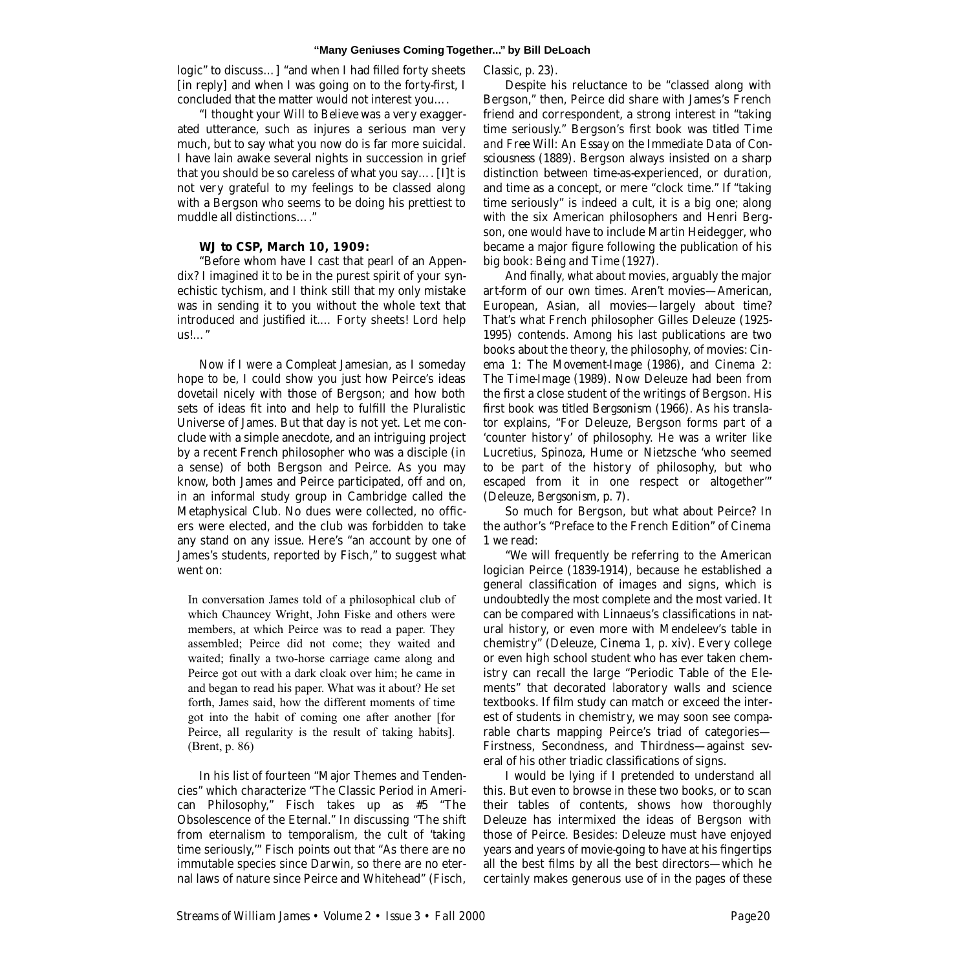logic" to discuss…] "and when I had filled forty sheets [in reply] and when I was going on to the forty-first, I concluded that the matter would not interest you….

"I thought your *Will to Believe* was a very exaggerated utterance, such as injures a serious man very much, but to say what you now do is far more suicidal. I have lain awake several nights in succession in grief that you should be so careless of what you say…. [I]t is not very grateful to my feelings to be classed along with a Bergson who seems to be doing his prettiest to muddle all distinctions…."

# **WJ to CSP, March 10, 1909:**

"Before whom have I cast that pearl of an Appendix? I imagined it to be in the purest spirit of your synechistic tychism, and I think still that my only mistake was in sending it to you without the whole text that introduced and justified it.… Forty sheets! Lord help us!…"

Now if I were a Compleat Jamesian, as I someday hope to be, I could show you just how Peirce's ideas dovetail nicely with those of Bergson; and how both sets of ideas fit into and help to fulfill the Pluralistic Universe of James. But that day is not yet. Let me conclude with a simple anecdote, and an intriguing project by a recent French philosopher who was a disciple (in a sense) of both Bergson and Peirce. As you may know, both James and Peirce participated, off and on, in an informal study group in Cambridge called the Metaphysical Club. No dues were collected, no officers were elected, and the club was forbidden to take any stand on any issue. Here's "an account by one of James's students, reported by Fisch," to suggest what went on:

In conversation James told of a philosophical club of which Chauncey Wright, John Fiske and others were members, at which Peirce was to read a paper. They assembled; Peirce did not come; they waited and waited; finally a two-horse carriage came along and Peirce got out with a dark cloak over him; he came in and began to read his paper. What was it about? He set forth, James said, how the different moments of time got into the habit of coming one after another [for Peirce, all regularity is the result of taking habits]. (Brent, p. 86)

In his list of fourteen "Major Themes and Tendencies" which characterize "The Classic Period in American Philosophy," Fisch takes up as #5 "The Obsolescence of the Eternal." In discussing "The shift from eternalism to temporalism, the cult of 'taking time seriously,'" Fisch points out that "As there are no immutable species since Darwin, so there are no eternal laws of nature since Peirce and Whitehead" (Fisch,

*Classic,* p. 23).

Despite his reluctance to be "classed along with Bergson," then, Peirce did share with James's French friend and correspondent, a strong interest in "taking time seriously." Bergson's first book was titled *Time and Free Will: An Essay on the Immediate Data of Consciousness* (1889). Bergson always insisted on a sharp distinction between time-as-experienced, or *duration,* and time as a concept, or mere "clock time." If "taking time seriously" is indeed a cult, it is a big one; along with the six American philosophers and Henri Bergson, one would have to include Martin Heidegger, who became a major figure following the publication of his big book: *Being and Time* (1927).

And finally, what about movies, arguably the major art-form of our own times. Aren't movies—American, European, Asian, all movies—largely about time? That's what French philosopher Gilles Deleuze (1925- 1995) contends. Among his last publications are two books about the theory, the philosophy, of movies: *Cinema 1: The Movement-Image* (1986), and *Cinema 2: The Time-Image* (1989). Now Deleuze had been from the first a close student of the writings of Bergson. His first book was titled *Bergsonism* (1966). As his translator explains, "For Deleuze, Bergson forms part of a 'counter history' of philosophy. He was a writer like Lucretius, Spinoza, Hume or Nietzsche 'who seemed to be part of the history of philosophy, but who escaped from it in one respect or altogether'" (Deleuze, *Bergsonism,* p. 7).

So much for Bergson, but what about Peirce? In the author's "Preface to the French Edition" of *Cinema 1* we read:

"We will frequently be referring to the American logician Peirce (1839-1914), because he established a general classification of images and signs, which is undoubtedly the most complete and the most varied. It can be compared with Linnaeus's classifications in natural history, or even more with Mendeleev's table in chemistry" (Deleuze, *Cinema 1,* p. xiv). Every college or even high school student who has ever taken chemistry can recall the large "Periodic Table of the Elements" that decorated laboratory walls and science textbooks. If film study can match or exceed the interest of students in chemistry, we may soon see comparable charts mapping Peirce's triad of categories— Firstness, Secondness, and Thirdness—against several of his other triadic classifications of signs.

I would be lying if I pretended to understand all this. But even to browse in these two books, or to scan their tables of contents, shows how thoroughly Deleuze has intermixed the ideas of Bergson with those of Peirce. Besides: Deleuze must have enjoyed years and years of movie-going to have at his fingertips all the best films by all the best directors—which he certainly makes generous use of in the pages of these